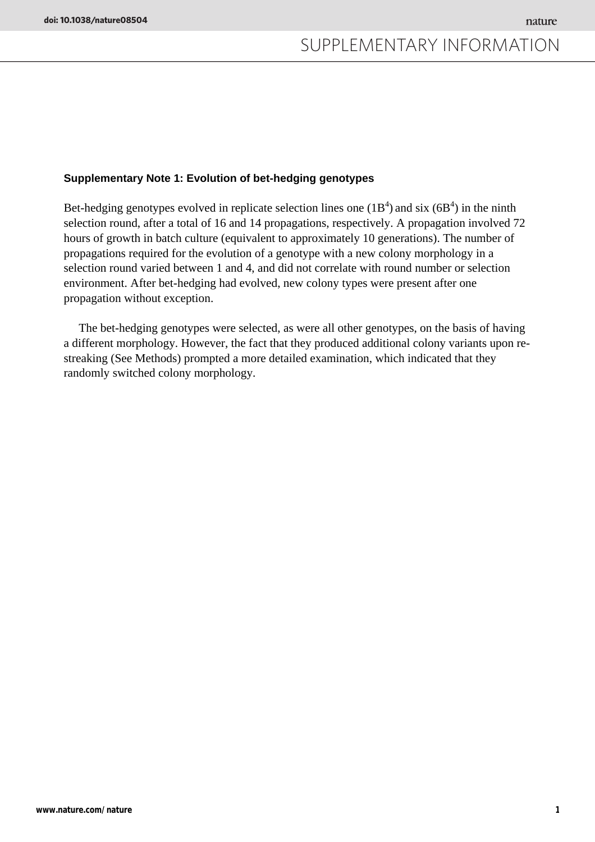### **Supplementary Note 1: Evolution of bet-hedging genotypes**

Bet-hedging genotypes evolved in replicate selection lines one  $(1B<sup>4</sup>)$  and six  $(6B<sup>4</sup>)$  in the ninth selection round, after a total of 16 and 14 propagations, respectively. A propagation involved 72 hours of growth in batch culture (equivalent to approximately 10 generations). The number of propagations required for the evolution of a genotype with a new colony morphology in a selection round varied between 1 and 4, and did not correlate with round number or selection environment. After bet-hedging had evolved, new colony types were present after one propagation without exception.

 The bet-hedging genotypes were selected, as were all other genotypes, on the basis of having a different morphology. However, the fact that they produced additional colony variants upon restreaking (See Methods) prompted a more detailed examination, which indicated that they randomly switched colony morphology.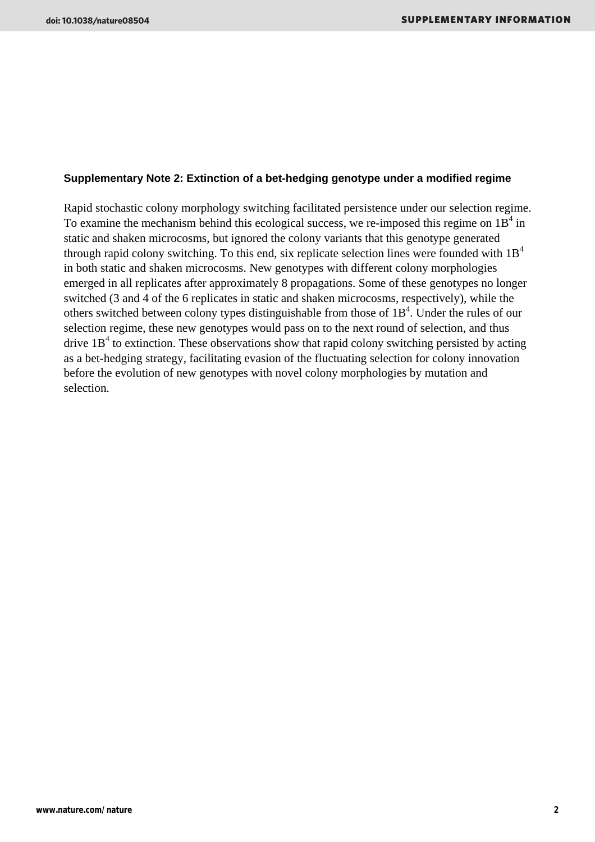### **Supplementary Note 2: Extinction of a bet-hedging genotype under a modified regime**

Rapid stochastic colony morphology switching facilitated persistence under our selection regime. To examine the mechanism behind this ecological success, we re-imposed this regime on  $1B<sup>4</sup>$  in static and shaken microcosms, but ignored the colony variants that this genotype generated through rapid colony switching. To this end, six replicate selection lines were founded with  $1B<sup>4</sup>$ in both static and shaken microcosms. New genotypes with different colony morphologies emerged in all replicates after approximately 8 propagations. Some of these genotypes no longer switched (3 and 4 of the 6 replicates in static and shaken microcosms, respectively), while the others switched between colony types distinguishable from those of  $1B<sup>4</sup>$ . Under the rules of our selection regime, these new genotypes would pass on to the next round of selection, and thus drive  $1B<sup>4</sup>$  to extinction. These observations show that rapid colony switching persisted by acting as a bet-hedging strategy, facilitating evasion of the fluctuating selection for colony innovation before the evolution of new genotypes with novel colony morphologies by mutation and selection.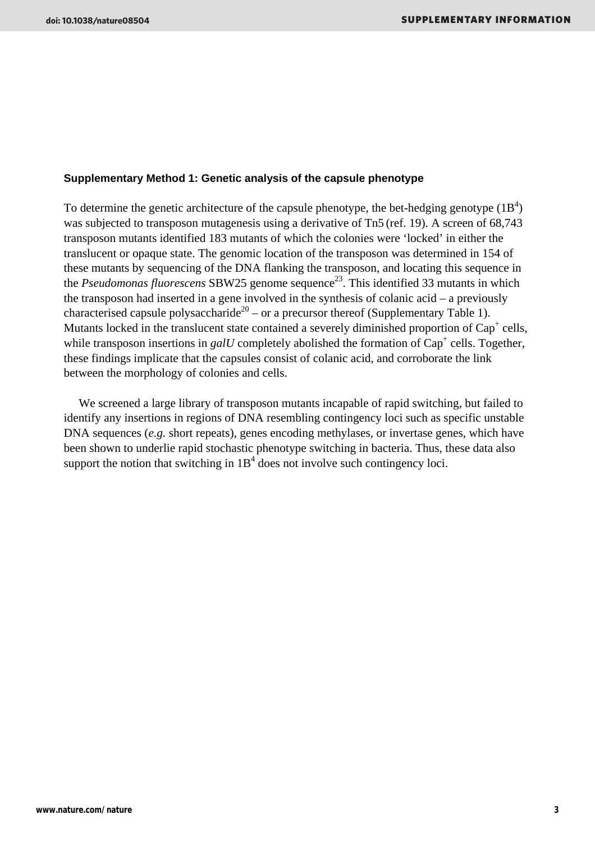#### **Supplementary Method 1: Genetic analysis of the capsule phenotype**

To determine the genetic architecture of the capsule phenotype, the bet-hedging genotype  $(1B<sup>4</sup>)$ was subjected to transposon mutagenesis using a derivative of Tn5 (ref. 19). A screen of 68,743 transposon mutants identified 183 mutants of which the colonies were 'locked' in either the translucent or opaque state. The genomic location of the transposon was determined in 154 of these mutants by sequencing of the DNA flanking the transposon, and locating this sequence in the *Pseudomonas fluorescens* SBW25 genome sequence<sup>23</sup>. This identified 33 mutants in which the transposon had inserted in a gene involved in the synthesis of colanic acid – a previously characterised capsule polysaccharide<sup>20</sup> – or a precursor thereof (Supplementary Table 1). Mutants locked in the translucent state contained a severely diminished proportion of  $Cap<sup>+</sup>$  cells, while transposon insertions in  $galU$  completely abolished the formation of  $Cap<sup>+</sup>$  cells. Together, these findings implicate that the capsules consist of colanic acid, and corroborate the link between the morphology of colonies and cells.

We screened a large library of transposon mutants incapable of rapid switching, but failed to identify any insertions in regions of DNA resembling contingency loci such as specific unstable DNA sequences (*e.g.* short repeats), genes encoding methylases, or invertase genes, which have been shown to underlie rapid stochastic phenotype switching in bacteria. Thus, these data also support the notion that switching in  $1B<sup>4</sup>$  does not involve such contingency loci.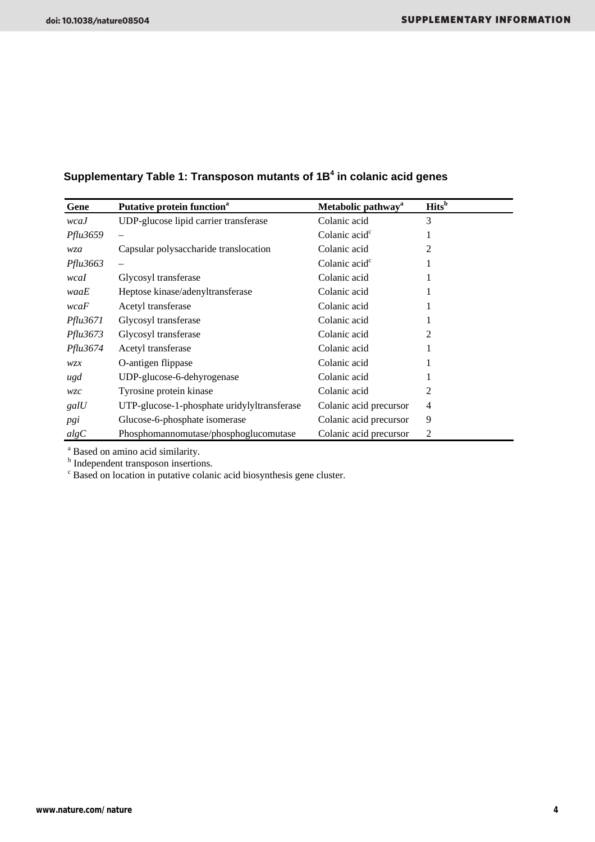# **Supplementary Table 1: Transposon mutants of 1B4 in colanic acid genes**

| Gene            | Putative protein function <sup>a</sup>      | Metabolic pathway <sup>a</sup> | <b>Hits</b> <sup>b</sup> |
|-----------------|---------------------------------------------|--------------------------------|--------------------------|
| wcaJ            | UDP-glucose lipid carrier transferase       | Colanic acid                   | 3                        |
| <i>Pflu3659</i> |                                             | Colanic acid <sup>c</sup>      |                          |
| wza             | Capsular polysaccharide translocation       | Colanic acid                   | 2                        |
| <i>Pflu3663</i> |                                             | Colanic acid <sup>c</sup>      |                          |
| wcaI            | Glycosyl transferase                        | Colanic acid                   |                          |
| waaE            | Heptose kinase/adenyltransferase            | Colanic acid                   |                          |
| wcaF            | Acetyl transferase                          | Colanic acid                   |                          |
| <i>Pflu3671</i> | Glycosyl transferase                        | Colanic acid                   |                          |
| Pflu3673        | Glycosyl transferase                        | Colanic acid                   | 2                        |
| Pflu3674        | Acetyl transferase                          | Colanic acid                   |                          |
| wzx             | O-antigen flippase                          | Colanic acid                   |                          |
| ugd             | UDP-glucose-6-dehyrogenase                  | Colanic acid                   |                          |
| wzc             | Tyrosine protein kinase                     | Colanic acid                   | 2                        |
| galU            | UTP-glucose-1-phosphate uridylyltransferase | Colanic acid precursor         | 4                        |
| pgi             | Glucose-6-phosphate isomerase               | Colanic acid precursor         | 9                        |
| algC            | Phosphomannomutase/phosphoglucomutase       | Colanic acid precursor         | 2                        |

<sup>a</sup> Based on amino acid similarity.<br><sup>b</sup> Independent transposon insertions.<br><sup>c</sup> Based on location in putative colanic acid biosynthesis gene cluster.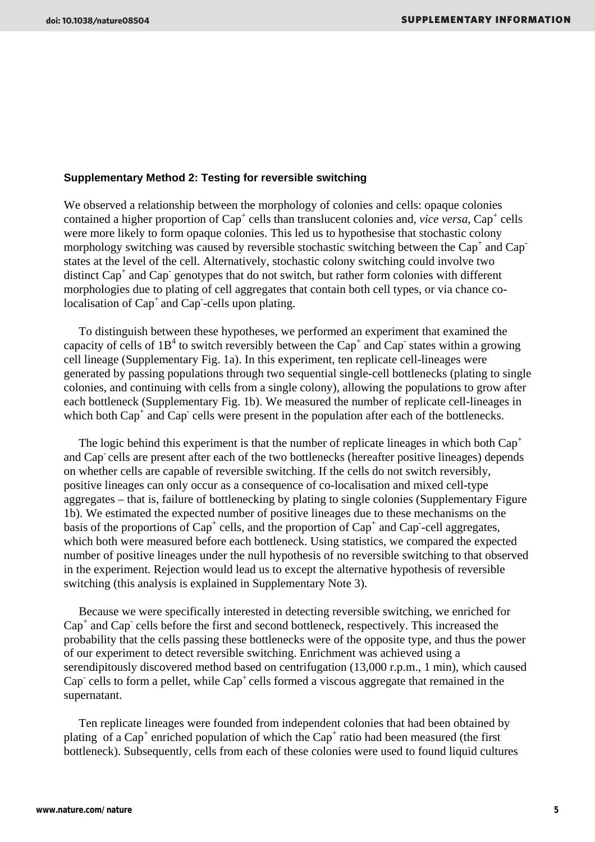#### **Supplementary Method 2: Testing for reversible switching**

We observed a relationship between the morphology of colonies and cells: opaque colonies  $\frac{1}{2}$  contained a higher proportion of  $Cap^+$  cells than translucent colonies and, *vice versa*,  $Cap^+$  cells were more likely to form opaque colonies. This led us to hypothesise that stochastic colony morphology switching was caused by reversible stochastic switching between the Cap<sup>+</sup> and Cap<sup>-</sup> states at the level of the cell. Alternatively, stochastic colony switching could involve two distinct Cap<sup>+</sup> and Cap<sup>-</sup> genotypes that do not switch, but rather form colonies with different morphologies due to plating of cell aggregates that contain both cell types, or via chance colocalisation of Cap<sup>+</sup> and Cap<sup>-</sup>cells upon plating.

 To distinguish between these hypotheses, we performed an experiment that examined the capacity of cells of  $1B<sup>4</sup>$  to switch reversibly between the Cap<sup>+</sup> and Cap<sup>-</sup> states within a growing cell lineage (Supplementary Fig. 1a). In this experiment, ten replicate cell-lineages were generated by passing populations through two sequential single-cell bottlenecks (plating to single colonies, and continuing with cells from a single colony), allowing the populations to grow after each bottleneck (Supplementary Fig. 1b). We measured the number of replicate cell-lineages in which both  $Cap^+$  and  $Cap^-$  cells were present in the population after each of the bottlenecks.

The logic behind this experiment is that the number of replicate lineages in which both  $Cap<sup>+</sup>$ and Cap- cells are present after each of the two bottlenecks (hereafter positive lineages) depends on whether cells are capable of reversible switching. If the cells do not switch reversibly, positive lineages can only occur as a consequence of co-localisation and mixed cell-type aggregates – that is, failure of bottlenecking by plating to single colonies (Supplementary Figure 1b). We estimated the expected number of positive lineages due to these mechanisms on the basis of the proportions of  $Cap<sup>+</sup>$  cells, and the proportion of  $Cap<sup>+</sup>$  and  $Cap<sup>-</sup>$  cell aggregates, which both were measured before each bottleneck. Using statistics, we compared the expected number of positive lineages under the null hypothesis of no reversible switching to that observed in the experiment. Rejection would lead us to except the alternative hypothesis of reversible switching (this analysis is explained in Supplementary Note 3).

 Because we were specifically interested in detecting reversible switching, we enriched for Cap<sup>+</sup> and Cap<sup>-</sup> cells before the first and second bottleneck, respectively. This increased the probability that the cells passing these bottlenecks were of the opposite type, and thus the power of our experiment to detect reversible switching. Enrichment was achieved using a serendipitously discovered method based on centrifugation (13,000 r.p.m., 1 min), which caused Cap<sup>-</sup> cells to form a pellet, while Cap<sup>+</sup> cells formed a viscous aggregate that remained in the supernatant.

 Ten replicate lineages were founded from independent colonies that had been obtained by plating of a Cap<sup>+</sup> enriched population of which the Cap<sup>+</sup> ratio had been measured (the first bottleneck). Subsequently, cells from each of these colonies were used to found liquid cultures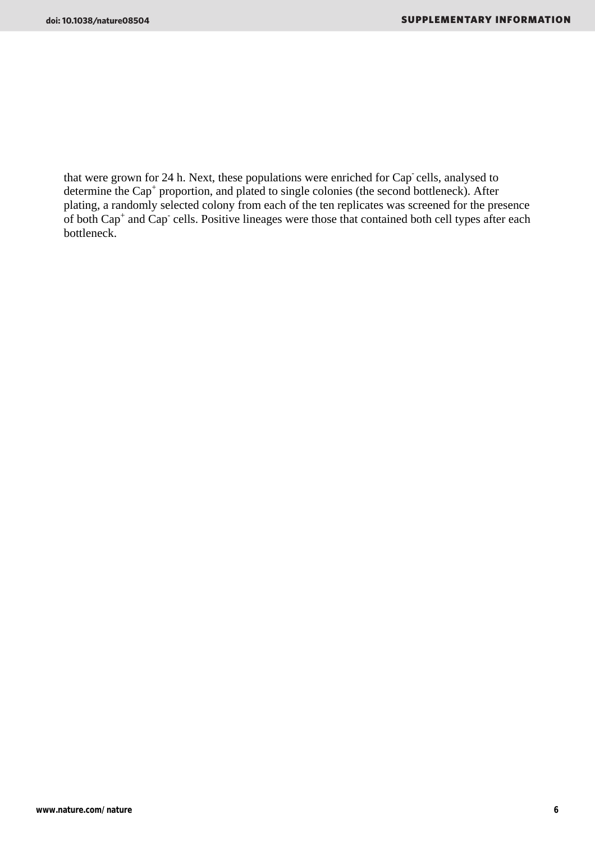that were grown for 24 h. Next, these populations were enriched for Cap- cells, analysed to determine the Cap<sup>+</sup> proportion, and plated to single colonies (the second bottleneck). After plating, a randomly selected colony from each of the ten replicates was screened for the presence of both Cap<sup>+</sup> and Cap<sup>-</sup> cells. Positive lineages were those that contained both cell types after each bottleneck.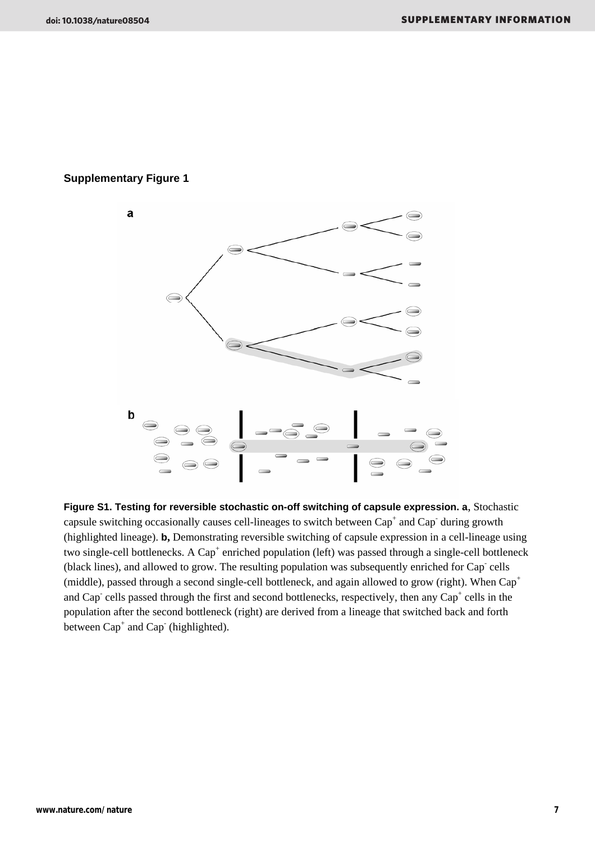# **Supplementary Figure 1**



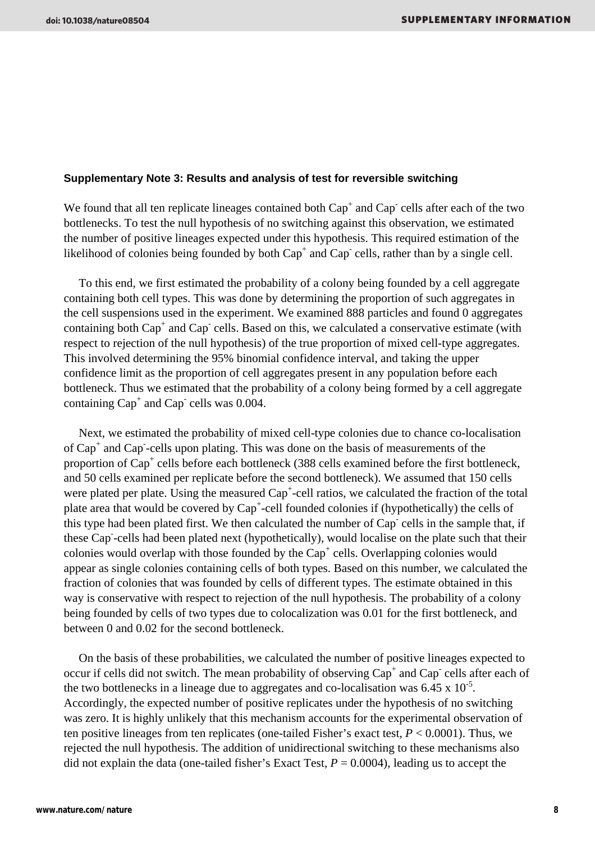#### **Supplementary Note 3: Results and analysis of test for reversible switching**

We found that all ten replicate lineages contained both  $Cap<sup>+</sup>$  and  $Cap<sup>-</sup>$  cells after each of the two bottlenecks. To test the null hypothesis of no switching against this observation, we estimated the number of positive lineages expected under this hypothesis. This required estimation of the likelihood of colonies being founded by both  $Cap^+$  and  $Cap^-$  cells, rather than by a single cell.

 To this end, we first estimated the probability of a colony being founded by a cell aggregate containing both cell types. This was done by determining the proportion of such aggregates in the cell suspensions used in the experiment. We examined 888 particles and found 0 aggregates containing both  $Cap<sup>+</sup>$  and  $Cap<sup>-</sup>$  cells. Based on this, we calculated a conservative estimate (with respect to rejection of the null hypothesis) of the true proportion of mixed cell-type aggregates. This involved determining the 95% binomial confidence interval, and taking the upper confidence limit as the proportion of cell aggregates present in any population before each bottleneck. Thus we estimated that the probability of a colony being formed by a cell aggregate containing  $Cap<sup>+</sup>$  and  $Cap<sup>-</sup>$  cells was 0.004.

 Next, we estimated the probability of mixed cell-type colonies due to chance co-localisation of Cap<sup>+</sup> and Cap<sup>-</sup>-cells upon plating. This was done on the basis of measurements of the proportion of Cap<sup>+</sup> cells before each bottleneck (388 cells examined before the first bottleneck, and 50 cells examined per replicate before the second bottleneck). We assumed that 150 cells were plated per plate. Using the measured  $Cap<sup>+</sup>-cell$  ratios, we calculated the fraction of the total plate area that would be covered by Cap<sup>+</sup>-cell founded colonies if (hypothetically) the cells of this type had been plated first. We then calculated the number of Cap<sup>-</sup> cells in the sample that, if these Cap- -cells had been plated next (hypothetically), would localise on the plate such that their colonies would overlap with those founded by the Cap<sup>+</sup> cells. Overlapping colonies would appear as single colonies containing cells of both types. Based on this number, we calculated the fraction of colonies that was founded by cells of different types. The estimate obtained in this way is conservative with respect to rejection of the null hypothesis. The probability of a colony being founded by cells of two types due to colocalization was 0.01 for the first bottleneck, and between 0 and 0.02 for the second bottleneck.

 On the basis of these probabilities, we calculated the number of positive lineages expected to occur if cells did not switch. The mean probability of observing  $Cap^+$  and  $Cap^-$  cells after each of the two bottlenecks in a lineage due to aggregates and co-localisation was  $6.45 \times 10^{-5}$ . Accordingly, the expected number of positive replicates under the hypothesis of no switching was zero. It is highly unlikely that this mechanism accounts for the experimental observation of ten positive lineages from ten replicates (one-tailed Fisher's exact test, *P* < 0.0001). Thus, we rejected the null hypothesis. The addition of unidirectional switching to these mechanisms also did not explain the data (one-tailed fisher's Exact Test,  $P = 0.0004$ ), leading us to accept the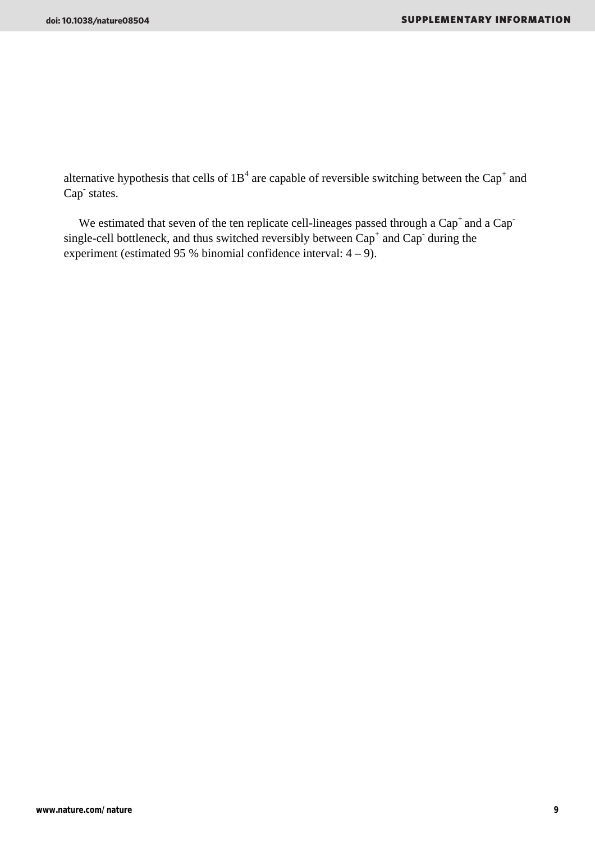alternative hypothesis that cells of  $1B<sup>4</sup>$  are capable of reversible switching between the Cap<sup>+</sup> and Cap<sup>-</sup> states.

We estimated that seven of the ten replicate cell-lineages passed through a  $Cap<sup>+</sup>$  and a  $Cap$ single-cell bottleneck, and thus switched reversibly between  $Cap<sup>+</sup>$  and  $Cap<sup>-</sup>$  during the experiment (estimated 95 % binomial confidence interval:  $4 - 9$ ).